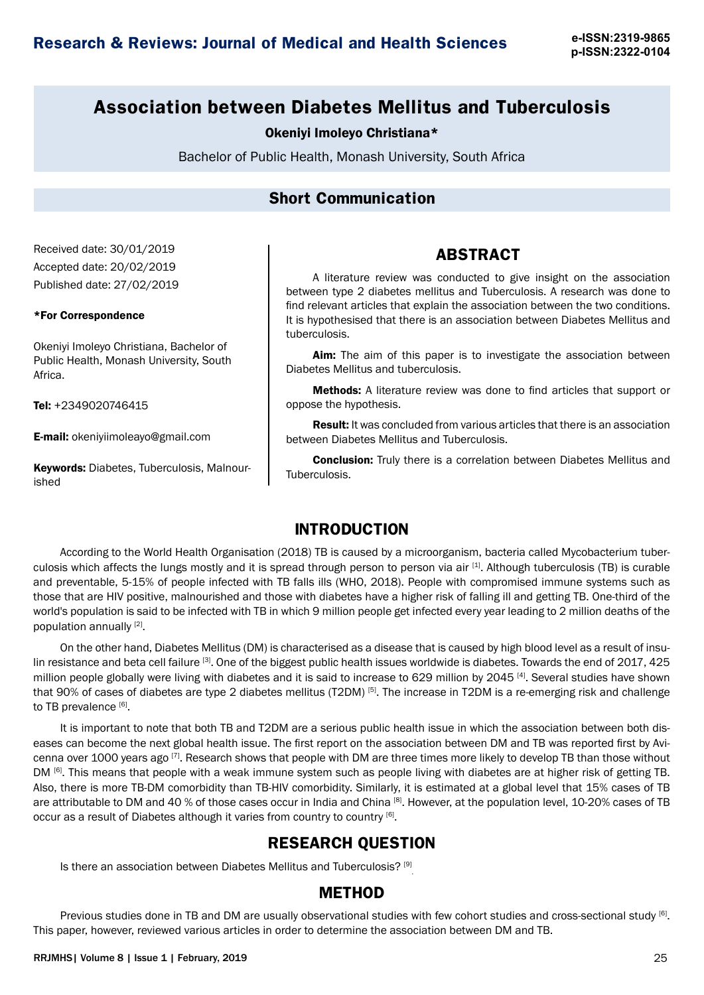**p-ISSN:2322-0104**

# **Association between Diabetes Mellitus and Tuberculosis**

#### Okeniyi Imoleyo Christiana\*

Bachelor of Public Health, Monash University, South Africa

## **Short Communication**

Received date: 30/01/2019 Accepted date: 20/02/2019 Published date: 27/02/2019

#### \*For Correspondence

Okeniyi Imoleyo Christiana, Bachelor of Public Health, Monash University, South Africa.

Tel: +2349020746415

E-mail: okeniyiimoleayo@gmail.com

**Keywords: Diabetes, Tuberculosis, Malnour**ished

# **ABSTRACT**

A literature review was conducted to give insight on the association between type 2 diabetes mellitus and Tuberculosis. A research was done to find relevant articles that explain the association between the two conditions. It is hypothesised that there is an association between Diabetes Mellitus and tuberculosis.

Aim: The aim of this paper is to investigate the association between Diabetes Mellitus and tuberculosis.

Methods: A literature review was done to find articles that support or oppose the hypothesis.

Result: It was concluded from various articles that there is an association between Diabetes Mellitus and Tuberculosis.

Conclusion: Truly there is a correlation between Diabetes Mellitus and Tuberculosis.

### **INTRODUCTION**

According to the World Health Organisation (2018) TB is caused by a microorganism, bacteria called Mycobacterium tuberculosis which affects the lungs mostly and it is spread through person to person via air  $[1]$ . Although tuberculosis (TB) is curable and preventable, 5-15% of people infected with TB falls ills (WHO, 2018). People with compromised immune systems such as those that are HIV positive, malnourished and those with diabetes have a higher risk of falling ill and getting TB. One-third of the world's population is said to be infected with TB in which 9 million people get infected every year leading to 2 million deaths of the population annually [2].

On the other hand, Diabetes Mellitus (DM) is characterised as a disease that is caused by high blood level as a result of insulin resistance and beta cell failure [3]. One of the biggest public health issues worldwide is diabetes. Towards the end of 2017, 425 million people globally were living with diabetes and it is said to increase to 629 million by 2045 [4]. Several studies have shown that 90% of cases of diabetes are type 2 diabetes mellitus (T2DM) [5]. The increase in T2DM is a re-emerging risk and challenge to TB prevalence [6].

It is important to note that both TB and T2DM are a serious public health issue in which the association between both diseases can become the next global health issue. The first report on the association between DM and TB was reported first by Avicenna over 1000 years ago [7]. Research shows that people with DM are three times more likely to develop TB than those without DM [6]. This means that people with a weak immune system such as people living with diabetes are at higher risk of getting TB. Also, there is more TB-DM comorbidity than TB-HIV comorbidity. Similarly, it is estimated at a global level that 15% cases of TB are attributable to DM and 40 % of those cases occur in India and China [8]. However, at the population level, 10-20% cases of TB occur as a result of Diabetes although it varies from country to country [6].

### **RESEARCH QUESTION**

Is there an association between Diabetes Mellitus and Tuberculosis? [9]

### **METHOD**

Previous studies done in TB and DM are usually observational studies with few cohort studies and cross-sectional study [6]. This paper, however, reviewed various articles in order to determine the association between DM and TB.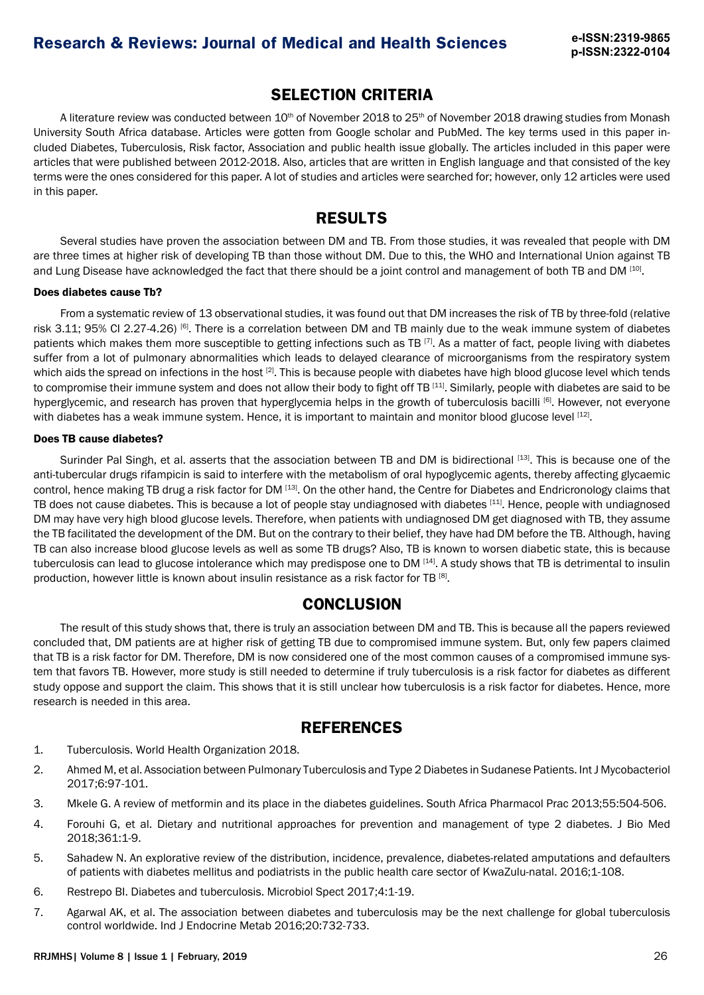## **SELECTION CRITERIA**

A literature review was conducted between 10<sup>th</sup> of November 2018 to 25<sup>th</sup> of November 2018 drawing studies from Monash University South Africa database. Articles were gotten from Google scholar and PubMed. The key terms used in this paper included Diabetes, Tuberculosis, Risk factor, Association and public health issue globally. The articles included in this paper were articles that were published between 2012-2018. Also, articles that are written in English language and that consisted of the key terms were the ones considered for this paper. A lot of studies and articles were searched for; however, only 12 articles were used in this paper.

# **RESULTS**

Several studies have proven the association between DM and TB. From those studies, it was revealed that people with DM are three times at higher risk of developing TB than those without DM. Due to this, the WHO and International Union against TB and Lung Disease have acknowledged the fact that there should be a joint control and management of both TB and DM [10].

#### Does diabetes cause Tb?

From a systematic review of 13 observational studies, it was found out that DM increases the risk of TB by three-fold (relative risk 3.11; 95% CI 2.27-4.26) <sup>[6]</sup>. There is a correlation between DM and TB mainly due to the weak immune system of diabetes patients which makes them more susceptible to getting infections such as TB  $^{[7]}$ . As a matter of fact, people living with diabetes suffer from a lot of pulmonary abnormalities which leads to delayed clearance of microorganisms from the respiratory system which aids the spread on infections in the host  $[2]$ . This is because people with diabetes have high blood glucose level which tends to compromise their immune system and does not allow their body to fight off TB [11]. Similarly, people with diabetes are said to be hyperglycemic, and research has proven that hyperglycemia helps in the growth of tuberculosis bacilli [6]. However, not everyone with diabetes has a weak immune system. Hence, it is important to maintain and monitor blood glucose level [12].

#### Does TB cause diabetes?

Surinder Pal Singh, et al. asserts that the association between TB and DM is bidirectional [13]. This is because one of the anti-tubercular drugs rifampicin is said to interfere with the metabolism of oral hypoglycemic agents, thereby affecting glycaemic control, hence making TB drug a risk factor for DM [13]. On the other hand, the Centre for Diabetes and Endricronology claims that TB does not cause diabetes. This is because a lot of people stay undiagnosed with diabetes [11]. Hence, people with undiagnosed DM may have very high blood glucose levels. Therefore, when patients with undiagnosed DM get diagnosed with TB, they assume the TB facilitated the development of the DM. But on the contrary to their belief, they have had DM before the TB. Although, having TB can also increase blood glucose levels as well as some TB drugs? Also, TB is known to worsen diabetic state, this is because tuberculosis can lead to glucose intolerance which may predispose one to DM [14]. A study shows that TB is detrimental to insulin production, however little is known about insulin resistance as a risk factor for TB [8].

## **CONCLUSION**

The result of this study shows that, there is truly an association between DM and TB. This is because all the papers reviewed concluded that, DM patients are at higher risk of getting TB due to compromised immune system. But, only few papers claimed that TB is a risk factor for DM. Therefore, DM is now considered one of the most common causes of a compromised immune system that favors TB. However, more study is still needed to determine if truly tuberculosis is a risk factor for diabetes as different study oppose and support the claim. This shows that it is still unclear how tuberculosis is a risk factor for diabetes. Hence, more research is needed in this area.

## **REFERENCES**

- 1. Tuberculosis. World Health Organization 2018.
- 2. Ahmed M, et al. Association between Pulmonary Tuberculosis and Type 2 Diabetes in Sudanese Patients. Int J Mycobacteriol 2017;6:97-101.
- 3. Mkele G. A review of metformin and its place in the diabetes guidelines. South Africa Pharmacol Prac 2013;55:504-506.
- 4. Forouhi G, et al. Dietary and nutritional approaches for prevention and management of type 2 diabetes. J Bio Med 2018;361:1-9.
- 5. Sahadew N. An explorative review of the distribution, incidence, prevalence, diabetes-related amputations and defaulters of patients with diabetes mellitus and podiatrists in the public health care sector of KwaZulu-natal. 2016;1-108.
- 6. Restrepo BI. Diabetes and tuberculosis. Microbiol Spect 2017;4:1-19.
- 7. Agarwal AK, et al. The association between diabetes and tuberculosis may be the next challenge for global tuberculosis control worldwide. Ind J Endocrine Metab 2016;20:732-733.